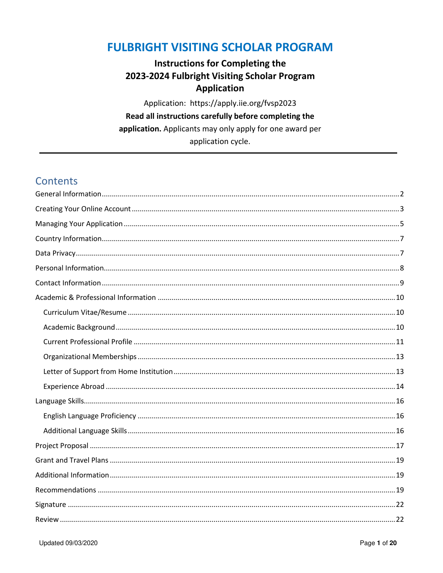## **FULBRIGHT VISITING SCHOLAR PROGRAM**

### **Instructions for Completing the** 2023-2024 Fulbright Visiting Scholar Program **Application**

Application: https://apply.iie.org/fvsp2023 Read all instructions carefully before completing the application. Applicants may only apply for one award per application cycle.

## **Contents**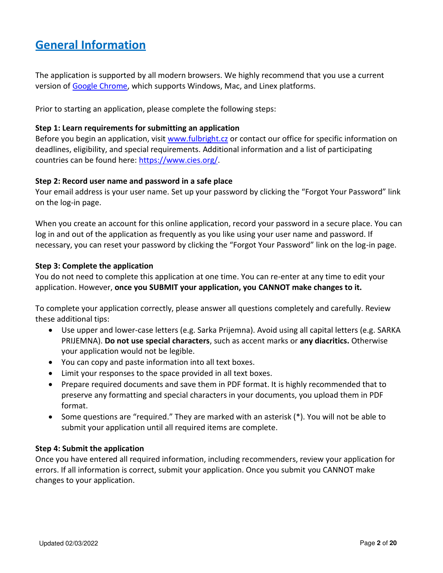# <span id="page-1-0"></span>**General Information**

The application is supported by all modern browsers. We highly recommend that you use a current version of [Google Chrome,](https://www.google.com/chrome/) which supports Windows, Mac, and Linex platforms.

Prior to starting an application, please complete the following steps:

#### **Step 1: Learn requirements for submitting an application**

Before you begin an application, visit [www.fulbright.cz](http://www.fulbright.cz/) or contact our office for specific information on deadlines, eligibility, and special requirements. Additional information and a list of participating countries can be found here: [https://www.cies.org/.](https://www.cies.org/)

#### **Step 2: Record user name and password in a safe place**

Your email address is your user name. Set up your password by clicking the "Forgot Your Password" link on the log-in page.

When you create an account for this online application, record your password in a secure place. You can log in and out of the application as frequently as you like using your user name and password. If necessary, you can reset your password by clicking the "Forgot Your Password" link on the log-in page.

#### **Step 3: Complete the application**

You do not need to complete this application at one time. You can re-enter at any time to edit your application. However, **once you SUBMIT your application, you CANNOT make changes to it.**

To complete your application correctly, please answer all questions completely and carefully. Review these additional tips:

- Use upper and lower-case letters (e.g. Sarka Prijemna). Avoid using all capital letters (e.g. SARKA PRIJEMNA). **Do not use special characters**, such as accent marks or **any diacritics.** Otherwise your application would not be legible.
- You can copy and paste information into all text boxes.
- Limit your responses to the space provided in all text boxes.
- Prepare required documents and save them in PDF format. It is highly recommended that to preserve any formatting and special characters in your documents, you upload them in PDF format.
- Some questions are "required." They are marked with an asterisk (\*). You will not be able to submit your application until all required items are complete.

#### **Step 4: Submit the application**

Once you have entered all required information, including recommenders, review your application for errors. If all information is correct, submit your application. Once you submit you CANNOT make changes to your application.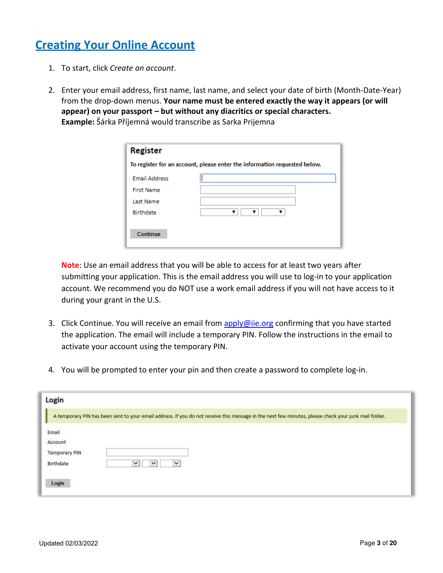# <span id="page-2-0"></span>**Creating Your Online Account**

- 1. To start, click *Create an account*.
- 2. Enter your email address, first name, last name, and select your date of birth (Month-Date-Year) from the drop-down menus. **Your name must be entered exactly the way it appears (or will appear) on your passport – but without any diacritics or special characters. Example:** Šárka Příjemná would transcribe as Sarka Prijemna

| <b>Register</b>                                                           |  |  |
|---------------------------------------------------------------------------|--|--|
| To register for an account, please enter the information requested below. |  |  |
| <b>Email Address</b>                                                      |  |  |
| <b>First Name</b>                                                         |  |  |
| Last Name                                                                 |  |  |
| <b>Birthdate</b>                                                          |  |  |
|                                                                           |  |  |
| Continue                                                                  |  |  |
|                                                                           |  |  |

**Note**: Use an email address that you will be able to access for at least two years after submitting your application. This is the email address you will use to log-in to your application account. We recommend you do NOT use a work email address if you will not have access to it during your grant in the U.S.

- 3. Click Continue. You will receive an email from [apply@iie.org](mailto:apply@iie.org) confirming that you have started the application. The email will include a temporary PIN. Follow the instructions in the email to activate your account using the temporary PIN.
- 4. You will be prompted to enter your pin and then create a password to complete log-in.

| Login                                                          |                                                                                                                                                      |
|----------------------------------------------------------------|------------------------------------------------------------------------------------------------------------------------------------------------------|
|                                                                | A temporary PIN has been sent to your email address. If you do not receive this message in the next few minutes, please check your junk mail folder. |
| Email<br>Account<br><b>Temporary PIN</b><br>Birthdate<br>Login | $\check{ }$<br>$\checkmark$<br>$\checkmark$                                                                                                          |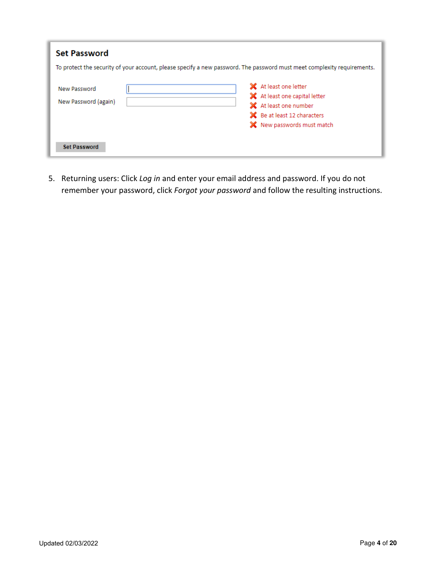| <b>Set Password</b>                                                                                                     |                                                                                                                                                  |  |  |
|-------------------------------------------------------------------------------------------------------------------------|--------------------------------------------------------------------------------------------------------------------------------------------------|--|--|
| To protect the security of your account, please specify a new password. The password must meet complexity requirements. |                                                                                                                                                  |  |  |
| New Password<br>New Password (again)                                                                                    | X At least one letter<br>X At least one capital letter<br>X At least one number<br>State Be at least 12 characters<br>X New passwords must match |  |  |
| <b>Set Password</b>                                                                                                     |                                                                                                                                                  |  |  |

5. Returning users: Click *Log in* and enter your email address and password. If you do not remember your password, click *Forgot your password* and follow the resulting instructions.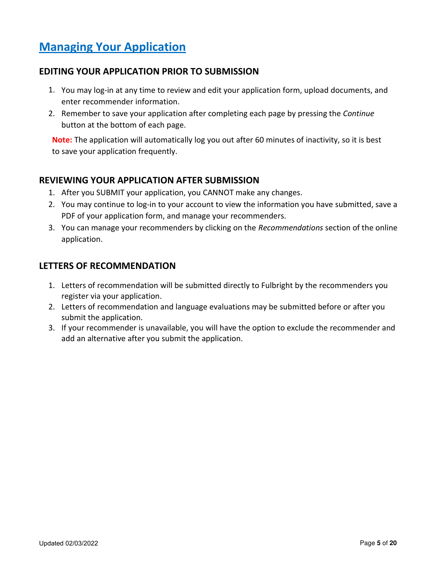# <span id="page-4-0"></span>**Managing Your Application**

### **EDITING YOUR APPLICATION PRIOR TO SUBMISSION**

- 1. You may log-in at any time to review and edit your application form, upload documents, and enter recommender information.
- 2. Remember to save your application after completing each page by pressing the *Continue* button at the bottom of each page.

**Note:** The application will automatically log you out after 60 minutes of inactivity, so it is best to save your application frequently.

### **REVIEWING YOUR APPLICATION AFTER SUBMISSION**

- 1. After you SUBMIT your application, you CANNOT make any changes.
- 2. You may continue to log-in to your account to view the information you have submitted, save a PDF of your application form, and manage your recommenders.
- 3. You can manage your recommenders by clicking on the *Recommendations* section of the online application.

### **LETTERS OF RECOMMENDATION**

- 1. Letters of recommendation will be submitted directly to Fulbright by the recommenders you register via your application.
- 2. Letters of recommendation and language evaluations may be submitted before or after you submit the application.
- 3. If your recommender is unavailable, you will have the option to exclude the recommender and add an alternative after you submit the application.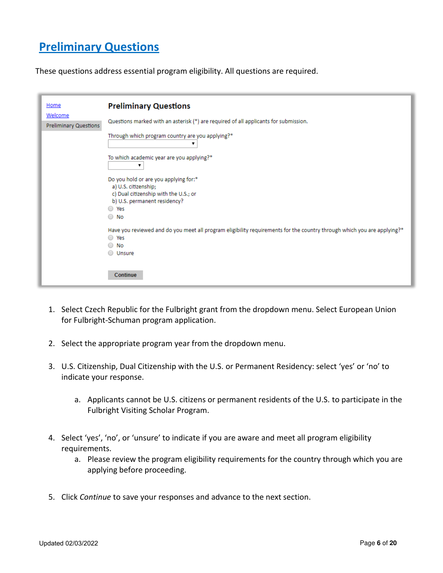# **Preliminary Questions**

These questions address essential program eligibility. All questions are required.

| Home<br>Welcome<br>Preliminary Questions | <b>Preliminary Questions</b><br>Questions marked with an asterisk (*) are required of all applicants for submission.                                                          |
|------------------------------------------|-------------------------------------------------------------------------------------------------------------------------------------------------------------------------------|
|                                          | Through which program country are you applying?*                                                                                                                              |
|                                          | To which academic year are you applying?*<br>▼                                                                                                                                |
|                                          | Do you hold or are you applying for:*<br>a) U.S. citizenship;<br>c) Dual citizenship with the U.S.; or<br>b) U.S. permanent residency?                                        |
|                                          | Yes<br>$\bigcirc$<br>No<br>$\bigcirc$                                                                                                                                         |
|                                          | Have you reviewed and do you meet all program eligibility requirements for the country through which you are applying?*<br>○ Yes<br>$\circ$ No<br><b>Unsure</b><br>$\bigcirc$ |
|                                          | Continue                                                                                                                                                                      |

- 1. Select Czech Republic for the Fulbright grant from the dropdown menu. Select European Union for Fulbright-Schuman program application.
- 2. Select the appropriate program year from the dropdown menu.
- 3. U.S. Citizenship, Dual Citizenship with the U.S. or Permanent Residency: select 'yes' or 'no' to indicate your response.
	- a. Applicants cannot be U.S. citizens or permanent residents of the U.S. to participate in the Fulbright Visiting Scholar Program.
- 4. Select 'yes', 'no', or 'unsure' to indicate if you are aware and meet all program eligibility requirements.
	- a. Please review the program eligibility requirements for the country through which you are applying before proceeding.
- 5. Click *Continue* to save your responses and advance to the next section.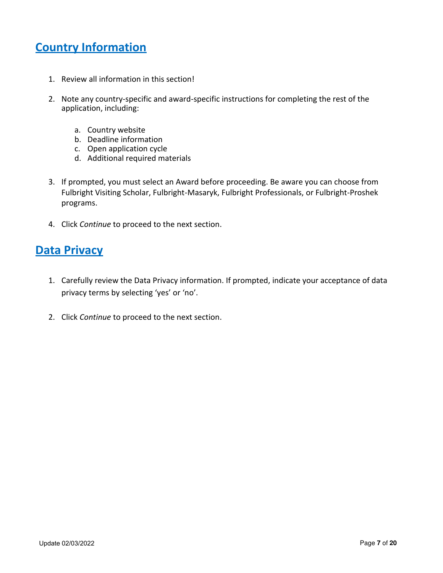# <span id="page-6-0"></span>**Country Information**

- 1. Review all information in this section!
- 2. Note any country-specific and award-specific instructions for completing the rest of the application, including:
	- a. Country website
	- b. Deadline information
	- c. Open application cycle
	- d. Additional required materials
- 3. If prompted, you must select an Award before proceeding. Be aware you can choose from Fulbright Visiting Scholar, Fulbright-Masaryk, Fulbright Professionals, or Fulbright-Proshek programs.
- 4. Click *Continue* to proceed to the next section.

## <span id="page-6-1"></span>**Data Privacy**

- 1. Carefully review the Data Privacy information. If prompted, indicate your acceptance of data privacy terms by selecting 'yes' or 'no'.
- 2. Click *Continue* to proceed to the next section.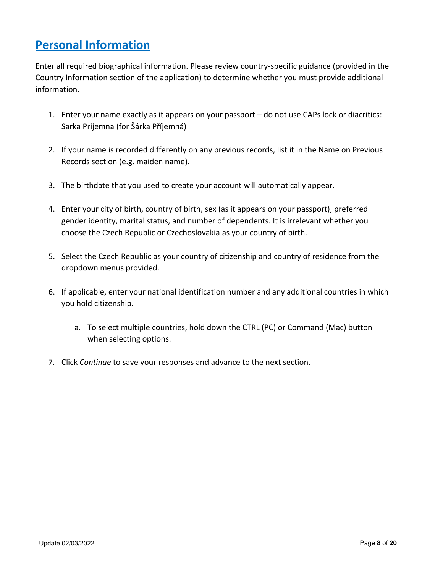# <span id="page-7-0"></span>**Personal Information**

Enter all required biographical information. Please review country-specific guidance (provided in the Country Information section of the application) to determine whether you must provide additional information.

- 1. Enter your name exactly as it appears on your passport do not use CAPs lock or diacritics: Sarka Prijemna (for Šárka Příjemná)
- 2. If your name is recorded differently on any previous records, list it in the Name on Previous Records section (e.g. maiden name).
- 3. The birthdate that you used to create your account will automatically appear.
- 4. Enter your city of birth, country of birth, sex (as it appears on your passport), preferred gender identity, marital status, and number of dependents. It is irrelevant whether you choose the Czech Republic or Czechoslovakia as your country of birth.
- 5. Select the Czech Republic as your country of citizenship and country of residence from the dropdown menus provided.
- 6. If applicable, enter your national identification number and any additional countries in which you hold citizenship.
	- a. To select multiple countries, hold down the CTRL (PC) or Command (Mac) button when selecting options.
- 7. Click *Continue* to save your responses and advance to the next section.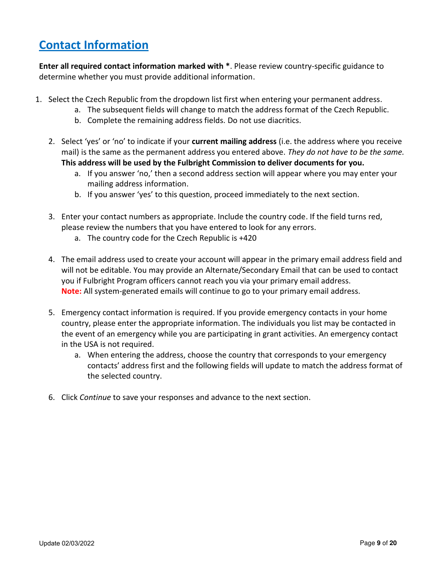# <span id="page-8-0"></span>**Contact Information**

**Enter all required contact information marked with \***. Please review country-specific guidance to determine whether you must provide additional information.

- 1. Select the Czech Republic from the dropdown list first when entering your permanent address.
	- a. The subsequent fields will change to match the address format of the Czech Republic.
	- b. Complete the remaining address fields. Do not use diacritics.
	- 2. Select 'yes' or 'no' to indicate if your **current mailing address** (i.e. the address where you receive mail) is the same as the permanent address you entered above. *They do not have to be the same.* **This address will be used by the Fulbright Commission to deliver documents for you.**
		- a. If you answer 'no,' then a second address section will appear where you may enter your mailing address information.
		- b. If you answer 'yes' to this question, proceed immediately to the next section.
	- 3. Enter your contact numbers as appropriate. Include the country code. If the field turns red, please review the numbers that you have entered to look for any errors.
		- a. The country code for the Czech Republic is +420
	- 4. The email address used to create your account will appear in the primary email address field and will not be editable. You may provide an Alternate/Secondary Email that can be used to contact you if Fulbright Program officers cannot reach you via your primary email address. **Note:** All system-generated emails will continue to go to your primary email address.
	- 5. Emergency contact information is required. If you provide emergency contacts in your home country, please enter the appropriate information. The individuals you list may be contacted in the event of an emergency while you are participating in grant activities. An emergency contact in the USA is not required.
		- a. When entering the address, choose the country that corresponds to your emergency contacts' address first and the following fields will update to match the address format of the selected country.
	- 6. Click *Continue* to save your responses and advance to the next section.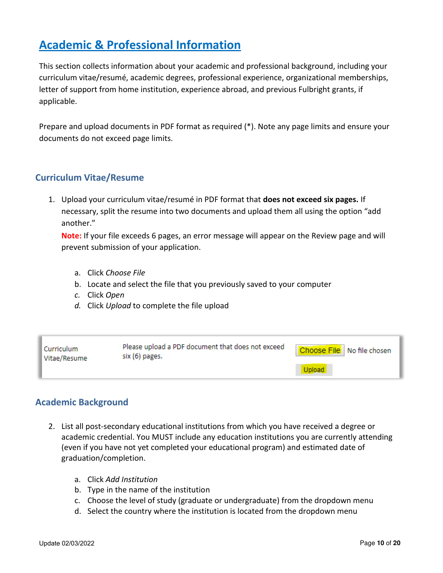# <span id="page-9-0"></span>**Academic & Professional Information**

This section collects information about your academic and professional background, including your curriculum vitae/resumé, academic degrees, professional experience, organizational memberships, letter of support from home institution, experience abroad, and previous Fulbright grants, if applicable.

Prepare and upload documents in PDF format as required (\*). Note any page limits and ensure your documents do not exceed page limits.

### <span id="page-9-1"></span>**Curriculum Vitae/Resume**

1. Upload your curriculum vitae/resumé in PDF format that **does not exceed six pages.** If necessary, split the resume into two documents and upload them all using the option "add another."

**Note:** If your file exceeds 6 pages, an error message will appear on the Review page and will prevent submission of your application.

- a. Click *Choose File*
- b. Locate and select the file that you previously saved to your computer
- *c.* Click *Open*
- *d.* Click *Upload* to complete the file upload

| l Curriculum<br>Vitae/Resume | Please upload a PDF document that does not exceed<br>six (6) pages. | Choose File   No file chosen |
|------------------------------|---------------------------------------------------------------------|------------------------------|
|                              |                                                                     |                              |

### <span id="page-9-2"></span>**Academic Background**

- 2. List all post-secondary educational institutions from which you have received a degree or academic credential. You MUST include any education institutions you are currently attending (even if you have not yet completed your educational program) and estimated date of graduation/completion.
	- a. Click *Add Institution*
	- b. Type in the name of the institution
	- c. Choose the level of study (graduate or undergraduate) from the dropdown menu
	- d. Select the country where the institution is located from the dropdown menu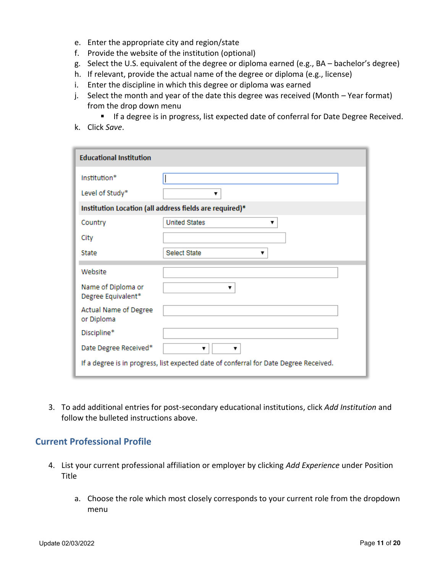- e. Enter the appropriate city and region/state
- f. Provide the website of the institution (optional)
- g. Select the U.S. equivalent of the degree or diploma earned (e.g., BA bachelor's degree)
- h. If relevant, provide the actual name of the degree or diploma (e.g., license)
- i. Enter the discipline in which this degree or diploma was earned
- j. Select the month and year of the date this degree was received (Month Year format) from the drop down menu
	- **If a degree is in progress, list expected date of conferral for Date Degree Received.**
- k. Click *Save*.

| <b>Educational Institution</b>                                                        |                           |  |  |
|---------------------------------------------------------------------------------------|---------------------------|--|--|
| Institution*                                                                          |                           |  |  |
| Level of Study*                                                                       |                           |  |  |
| Institution Location (all address fields are required)*                               |                           |  |  |
| Country                                                                               | <b>United States</b><br>▼ |  |  |
| City                                                                                  |                           |  |  |
| State                                                                                 | <b>Select State</b><br>▼  |  |  |
| Website                                                                               |                           |  |  |
| Name of Diploma or<br>Degree Equivalent*                                              | v                         |  |  |
| Actual Name of Degree<br>or Diploma                                                   |                           |  |  |
| Discipline*                                                                           |                           |  |  |
| Date Degree Received*                                                                 | v<br>▼                    |  |  |
| If a degree is in progress, list expected date of conferral for Date Degree Received. |                           |  |  |

3. To add additional entries for post-secondary educational institutions, click *Add Institution* and follow the bulleted instructions above.

#### <span id="page-10-0"></span>**Current Professional Profile**

- 4. List your current professional affiliation or employer by clicking *Add Experience* under Position Title
	- a. Choose the role which most closely corresponds to your current role from the dropdown menu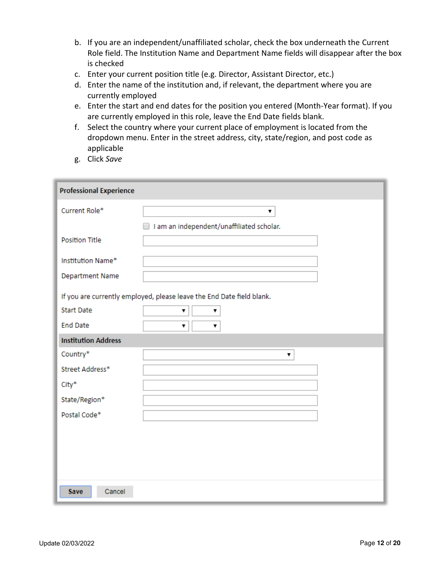- b. If you are an independent/unaffiliated scholar, check the box underneath the Current Role field. The Institution Name and Department Name fields will disappear after the box is checked
- c. Enter your current position title (e.g. Director, Assistant Director, etc.)
- d. Enter the name of the institution and, if relevant, the department where you are currently employed
- e. Enter the start and end dates for the position you entered (Month-Year format). If you are currently employed in this role, leave the End Date fields blank.
- f. Select the country where your current place of employment is located from the dropdown menu. Enter in the street address, city, state/region, and post code as applicable
- g. Click *Save*

| <b>Professional Experience</b> |                                                                       |  |  |
|--------------------------------|-----------------------------------------------------------------------|--|--|
| Current Role*                  | ۷.                                                                    |  |  |
|                                | I am an independent/unaffiliated scholar.                             |  |  |
| <b>Position Title</b>          |                                                                       |  |  |
| Institution Name*              |                                                                       |  |  |
| Department Name                |                                                                       |  |  |
|                                | If you are currently employed, please leave the End Date field blank. |  |  |
| <b>Start Date</b>              | ۷<br>۷.                                                               |  |  |
| <b>End Date</b>                | ۷.<br>▼                                                               |  |  |
| <b>Institution Address</b>     |                                                                       |  |  |
| Country*                       | ۷.                                                                    |  |  |
| Street Address*                |                                                                       |  |  |
| City*                          |                                                                       |  |  |
| State/Region*                  |                                                                       |  |  |
| Postal Code*                   |                                                                       |  |  |
|                                |                                                                       |  |  |
|                                |                                                                       |  |  |
|                                |                                                                       |  |  |
|                                |                                                                       |  |  |
| Cancel<br><b>Save</b>          |                                                                       |  |  |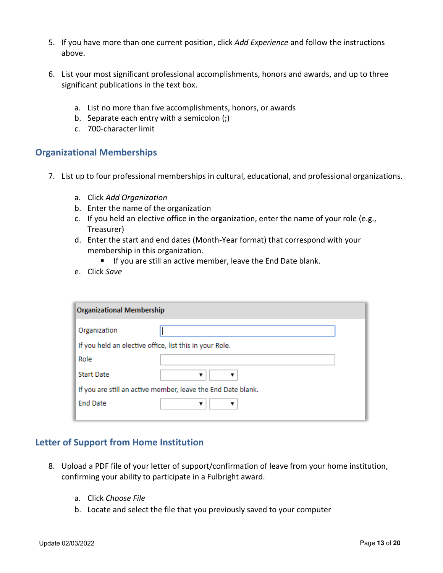- 5. If you have more than one current position, click *Add Experience* and follow the instructions above.
- 6. List your most significant professional accomplishments, honors and awards, and up to three significant publications in the text box.
	- a. List no more than five accomplishments, honors, or awards
	- b. Separate each entry with a semicolon (;)
	- c. 700-character limit

#### <span id="page-12-0"></span>**Organizational Memberships**

- 7. List up to four professional memberships in cultural, educational, and professional organizations.
	- a. Click *Add Organization*
	- b. Enter the name of the organization
	- c. If you held an elective office in the organization, enter the name of your role (e.g., Treasurer)
	- d. Enter the start and end dates (Month-Year format) that correspond with your membership in this organization.
		- **If you are still an active member, leave the End Date blank.**
	- e. Click *Save*

| <b>Organizational Membership</b>                             |   |  |
|--------------------------------------------------------------|---|--|
| Organization                                                 |   |  |
| If you held an elective office, list this in your Role.      |   |  |
| Role                                                         |   |  |
| <b>Start Date</b>                                            | ▼ |  |
| If you are still an active member, leave the End Date blank. |   |  |
| <b>End Date</b>                                              | v |  |
|                                                              |   |  |

#### <span id="page-12-1"></span>**Letter of Support from Home Institution**

- 8. Upload a PDF file of your letter of support/confirmation of leave from your home institution, confirming your ability to participate in a Fulbright award.
	- a. Click *Choose File*
	- b. Locate and select the file that you previously saved to your computer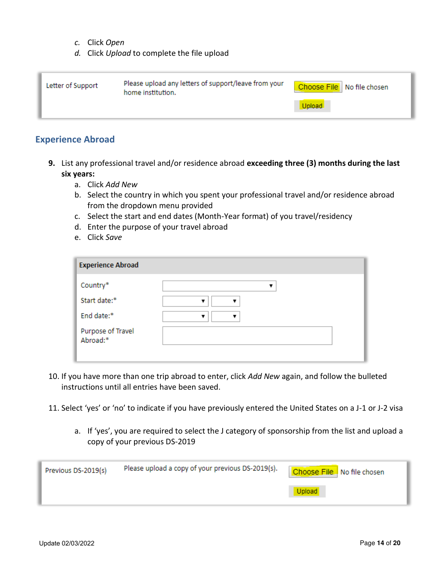- *c.* Click *Open*
- *d.* Click *Upload* to complete the file upload

| Letter of Support | Please upload any letters of support/leave from your<br>home institution. | Choose File   No file chosen |
|-------------------|---------------------------------------------------------------------------|------------------------------|
|                   |                                                                           | Upload                       |

#### <span id="page-13-0"></span>**Experience Abroad**

- **9.** List any professional travel and/or residence abroad **exceeding three (3) months during the last six years:**
	- a. Click *Add New*
	- b. Select the country in which you spent your professional travel and/or residence abroad from the dropdown menu provided
	- c. Select the start and end dates (Month-Year format) of you travel/residency
	- d. Enter the purpose of your travel abroad
	- e. Click *Save*

| <b>Experience Abroad</b>      |   |
|-------------------------------|---|
| Country*                      |   |
| Start date:*                  |   |
| End date:*                    | ▼ |
| Purpose of Travel<br>Abroad:* |   |
|                               |   |

- 10. If you have more than one trip abroad to enter, click *Add New* again, and follow the bulleted instructions until all entries have been saved.
- 11. Select 'yes' or 'no' to indicate if you have previously entered the United States on a J-1 or J-2 visa
	- a. If 'yes', you are required to select the J category of sponsorship from the list and upload a copy of your previous DS-2019

| Previous DS-2019(s) | Please upload a copy of your previous DS-2019(s). | Choose File No file chosen |
|---------------------|---------------------------------------------------|----------------------------|
|                     |                                                   |                            |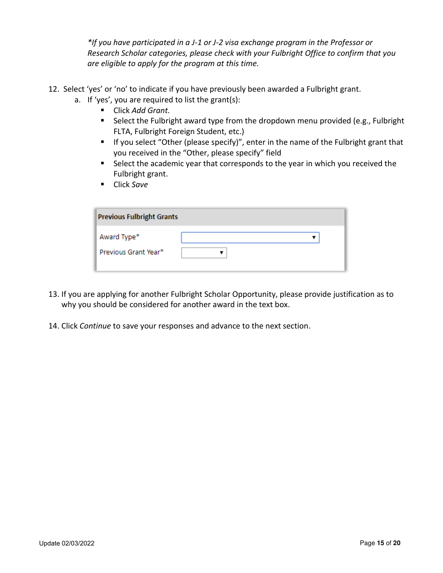*\*If you have participated in a J-1 or J-2 visa exchange program in the Professor or Research Scholar categories, please check with your Fulbright Office to confirm that you are eligible to apply for the program at this time.*

- 12. Select 'yes' or 'no' to indicate if you have previously been awarded a Fulbright grant.
	- a. If 'yes', you are required to list the grant(s):
		- Click *Add Grant.*
		- Select the Fulbright award type from the dropdown menu provided (e.g., Fulbright FLTA, Fulbright Foreign Student, etc.)
		- **If you select "Other (please specify)", enter in the name of the Fulbright grant that** you received in the "Other, please specify" field
		- Select the academic year that corresponds to the year in which you received the Fulbright grant.
		- Click *Save*

| <b>Previous Fulbright Grants</b>    |  |  |  |  |
|-------------------------------------|--|--|--|--|
| Award Type*<br>Previous Grant Year* |  |  |  |  |

- 13. If you are applying for another Fulbright Scholar Opportunity, please provide justification as to why you should be considered for another award in the text box.
- <span id="page-14-0"></span>14. Click *Continue* to save your responses and advance to the next section.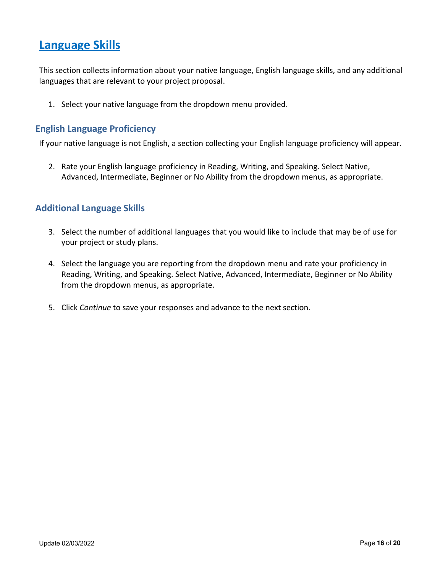## **Language Skills**

This section collects information about your native language, English language skills, and any additional languages that are relevant to your project proposal.

1. Select your native language from the dropdown menu provided.

#### <span id="page-15-0"></span>**English Language Proficiency**

If your native language is not English, a section collecting your English language proficiency will appear.

2. Rate your English language proficiency in Reading, Writing, and Speaking. Select Native, Advanced, Intermediate, Beginner or No Ability from the dropdown menus, as appropriate.

#### <span id="page-15-1"></span>**Additional Language Skills**

- 3. Select the number of additional languages that you would like to include that may be of use for your project or study plans.
- 4. Select the language you are reporting from the dropdown menu and rate your proficiency in Reading, Writing, and Speaking. Select Native, Advanced, Intermediate, Beginner or No Ability from the dropdown menus, as appropriate.
- 5. Click *Continue* to save your responses and advance to the next section.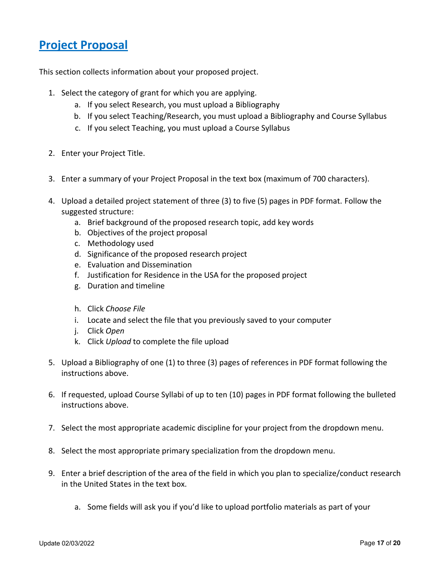## <span id="page-16-0"></span>**Project Proposal**

This section collects information about your proposed project.

- 1. Select the category of grant for which you are applying.
	- a. If you select Research, you must upload a Bibliography
	- b. If you select Teaching/Research, you must upload a Bibliography and Course Syllabus
	- c. If you select Teaching, you must upload a Course Syllabus
- 2. Enter your Project Title.
- 3. Enter a summary of your Project Proposal in the text box (maximum of 700 characters).
- 4. Upload a detailed project statement of three (3) to five (5) pages in PDF format. Follow the suggested structure:
	- a. Brief background of the proposed research topic, add key words
	- b. Objectives of the project proposal
	- c. Methodology used
	- d. Significance of the proposed research project
	- e. Evaluation and Dissemination
	- f. Justification for Residence in the USA for the proposed project
	- g. Duration and timeline
	- h. Click *Choose File*
	- i. Locate and select the file that you previously saved to your computer
	- j. Click *Open*
	- k. Click *Upload* to complete the file upload
- 5. Upload a Bibliography of one (1) to three (3) pages of references in PDF format following the instructions above.
- 6. If requested, upload Course Syllabi of up to ten (10) pages in PDF format following the bulleted instructions above.
- 7. Select the most appropriate academic discipline for your project from the dropdown menu.
- 8. Select the most appropriate primary specialization from the dropdown menu.
- 9. Enter a brief description of the area of the field in which you plan to specialize/conduct research in the United States in the text box.
	- a. Some fields will ask you if you'd like to upload portfolio materials as part of your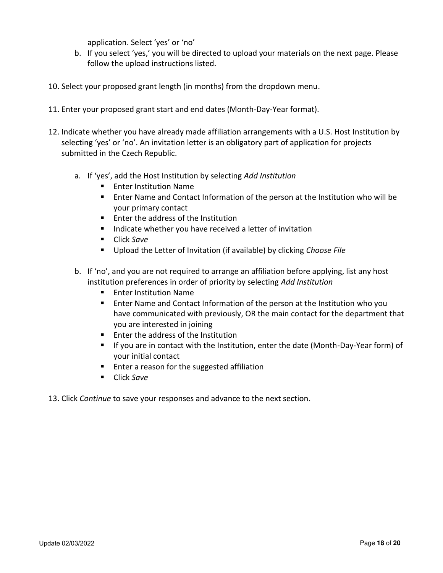application. Select 'yes' or 'no'

- b. If you select 'yes,' you will be directed to upload your materials on the next page. Please follow the upload instructions listed.
- 10. Select your proposed grant length (in months) from the dropdown menu.
- 11. Enter your proposed grant start and end dates (Month-Day-Year format).
- 12. Indicate whether you have already made affiliation arrangements with a U.S. Host Institution by selecting 'yes' or 'no'. An invitation letter is an obligatory part of application for projects submitted in the Czech Republic.
	- a. If 'yes', add the Host Institution by selecting *Add Institution*
		- **Enter Institution Name**
		- Enter Name and Contact Information of the person at the Institution who will be your primary contact
		- **Enter the address of the Institution**
		- **IF** Indicate whether you have received a letter of invitation
		- Click *Save*
		- Upload the Letter of Invitation (if available) by clicking *Choose File*
	- b. If 'no', and you are not required to arrange an affiliation before applying, list any host institution preferences in order of priority by selecting *Add Institution*
		- **Enter Institution Name**
		- Enter Name and Contact Information of the person at the Institution who you have communicated with previously, OR the main contact for the department that you are interested in joining
		- **Enter the address of the Institution**
		- If you are in contact with the Institution, enter the date (Month-Day-Year form) of your initial contact
		- **Enter a reason for the suggested affiliation**
		- Click *Save*
- 13. Click *Continue* to save your responses and advance to the next section.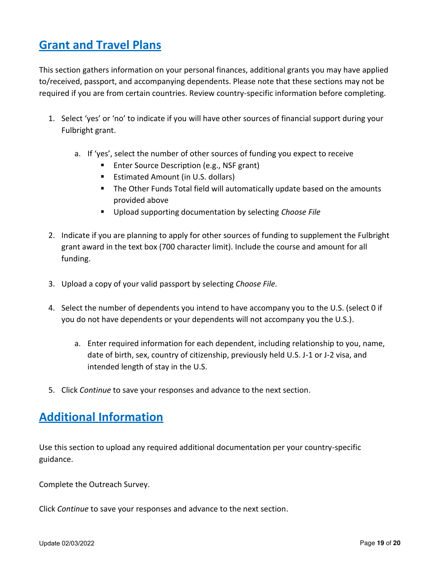# <span id="page-18-0"></span>**Grant and Travel Plans**

This section gathers information on your personal finances, additional grants you may have applied to/received, passport, and accompanying dependents. Please note that these sections may not be required if you are from certain countries. Review country-specific information before completing.

- 1. Select 'yes' or 'no' to indicate if you will have other sources of financial support during your Fulbright grant.
	- a. If 'yes', select the number of other sources of funding you expect to receive
		- **Enter Source Description (e.g., NSF grant)**
		- **Estimated Amount (in U.S. dollars)**
		- **The Other Funds Total field will automatically update based on the amounts** provided above
		- Upload supporting documentation by selecting *Choose File*
- 2. Indicate if you are planning to apply for other sources of funding to supplement the Fulbright grant award in the text box (700 character limit). Include the course and amount for all funding.
- 3. Upload a copy of your valid passport by selecting *Choose File.*
- 4. Select the number of dependents you intend to have accompany you to the U.S. (select 0 if you do not have dependents or your dependents will not accompany you the U.S.).
	- a. Enter required information for each dependent, including relationship to you, name, date of birth, sex, country of citizenship, previously held U.S. J-1 or J-2 visa, and intended length of stay in the U.S.
- 5. Click *Continue* to save your responses and advance to the next section.

## <span id="page-18-1"></span>**Additional Information**

Use this section to upload any required additional documentation per your country-specific guidance.

Complete the Outreach Survey.

<span id="page-18-2"></span>Click *Continue* to save your responses and advance to the next section.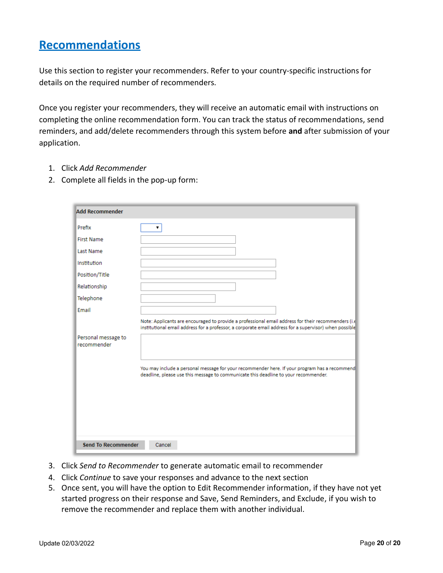## **Recommendations**

Use this section to register your recommenders. Refer to your country-specific instructions for details on the required number of recommenders.

Once you register your recommenders, they will receive an automatic email with instructions on completing the online recommendation form. You can track the status of recommendations, send reminders, and add/delete recommenders through this system before **and** after submission of your application.

- 1. Click *Add Recommender*
- 2. Complete all fields in the pop-up form:

| <b>Add Recommender</b>             |                                                                                                                                                                                                               |
|------------------------------------|---------------------------------------------------------------------------------------------------------------------------------------------------------------------------------------------------------------|
| Prefix                             |                                                                                                                                                                                                               |
| <b>First Name</b>                  |                                                                                                                                                                                                               |
| Last Name                          |                                                                                                                                                                                                               |
| Institution                        |                                                                                                                                                                                                               |
| Position/Title                     |                                                                                                                                                                                                               |
| Relationship                       |                                                                                                                                                                                                               |
| Telephone                          |                                                                                                                                                                                                               |
| Email                              |                                                                                                                                                                                                               |
|                                    | Note: Applicants are encouraged to provide a professional email address for their recommenders (i.e<br>institutional email address for a professor, a corporate email address for a supervisor) when possible |
| Personal message to<br>recommender |                                                                                                                                                                                                               |
|                                    | You may include a personal message for your recommender here. If your program has a recommend<br>deadline, please use this message to communicate this deadline to your recommender.                          |
| <b>Send To Recommender</b>         | Cancel                                                                                                                                                                                                        |

- 3. Click *Send to Recommender* to generate automatic email to recommender
- 4. Click *Continue* to save your responses and advance to the next section
- 5. Once sent, you will have the option to Edit Recommender information, if they have not yet started progress on their response and Save, Send Reminders, and Exclude, if you wish to remove the recommender and replace them with another individual.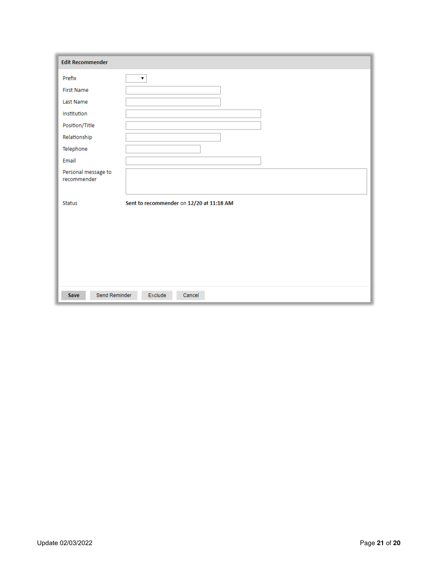<span id="page-20-0"></span>

| <b>Edit Recommender</b>            |                                          |
|------------------------------------|------------------------------------------|
| Prefix                             | ▼                                        |
| <b>First Name</b>                  |                                          |
| Last Name                          |                                          |
| Institution                        |                                          |
| Position/Title                     |                                          |
| Relationship                       |                                          |
| Telephone                          |                                          |
| Email                              |                                          |
| Personal message to<br>recommender |                                          |
| <b>Status</b>                      | Sent to recommender on 12/20 at 11:18 AM |
|                                    |                                          |
| Send Reminder<br>Save              | Exclude<br>Cancel                        |